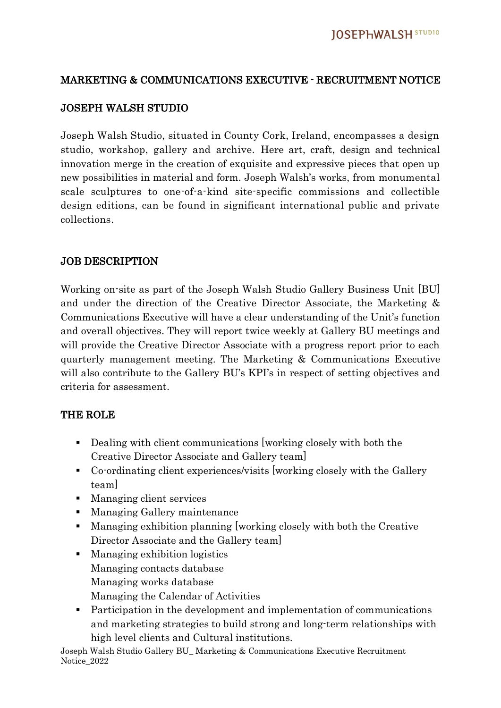### MARKETING & COMMUNICATIONS EXECUTIVE - RECRUITMENT NOTICE

#### JOSEPH WALSH STUDIO

Joseph Walsh Studio, situated in County Cork, Ireland, encompasses a design studio, workshop, gallery and archive. Here art, craft, design and technical innovation merge in the creation of exquisite and expressive pieces that open up new possibilities in material and form. Joseph Walsh's works, from monumental scale sculptures to one-of-a-kind site-specific commissions and collectible design editions, can be found in significant international public and private collections.

#### JOB DESCRIPTION

Working on-site as part of the Joseph Walsh Studio Gallery Business Unit [BU] and under the direction of the Creative Director Associate, the Marketing & Communications Executive will have a clear understanding of the Unit's function and overall objectives. They will report twice weekly at Gallery BU meetings and will provide the Creative Director Associate with a progress report prior to each quarterly management meeting. The Marketing & Communications Executive will also contribute to the Gallery BU's KPI's in respect of setting objectives and criteria for assessment.

#### THE ROLE

- Dealing with client communications [working closely with both the Creative Director Associate and Gallery team]
- Co-ordinating client experiences/visits [working closely with the Gallery team]
- Managing client services
- Managing Gallery maintenance
- Managing exhibition planning [working closely with both the Creative Director Associate and the Gallery team]
- Managing exhibition logistics Managing contacts database Managing works database Managing the Calendar of Activities
- Participation in the development and implementation of communications and marketing strategies to build strong and long-term relationships with high level clients and Cultural institutions.

Joseph Walsh Studio Gallery BU\_ Marketing & Communications Executive Recruitment Notice\_2022